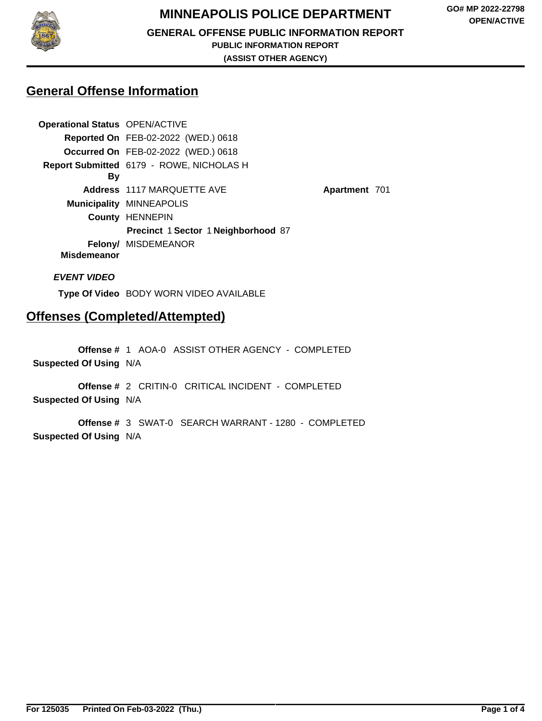

# **MINNEAPOLIS POLICE DEPARTMENT**

**GENERAL OFFENSE PUBLIC INFORMATION REPORT**

**PUBLIC INFORMATION REPORT**

**(ASSIST OTHER AGENCY)**

**Apartment** 701

## **General Offense Information**

| <b>Operational Status OPEN/ACTIVE</b> |                                            |
|---------------------------------------|--------------------------------------------|
|                                       | <b>Reported On FEB-02-2022 (WED.) 0618</b> |
|                                       | <b>Occurred On FEB-02-2022 (WED.) 0618</b> |
|                                       | Report Submitted 6179 - ROWE, NICHOLAS H   |
| By                                    |                                            |
|                                       | Address 1117 MARQUETTE AVE                 |
|                                       | <b>Municipality MINNEAPOLIS</b>            |
|                                       | <b>County HENNEPIN</b>                     |
|                                       | Precinct 1 Sector 1 Neighborhood 87        |
| <b>Misdemeanor</b>                    | <b>Felony/ MISDEMEANOR</b>                 |

**EVENT VIDEO**

**Type Of Video** BODY WORN VIDEO AVAILABLE

# **Offenses (Completed/Attempted)**

**Offense #** 1 AOA-0 ASSIST OTHER AGENCY - COMPLETED **Suspected Of Using** N/A

**Offense #** 2 CRITIN-0 CRITICAL INCIDENT - COMPLETED **Suspected Of Using** N/A

**Offense #** 3 SWAT-0 SEARCH WARRANT - 1280 - COMPLETED **Suspected Of Using** N/A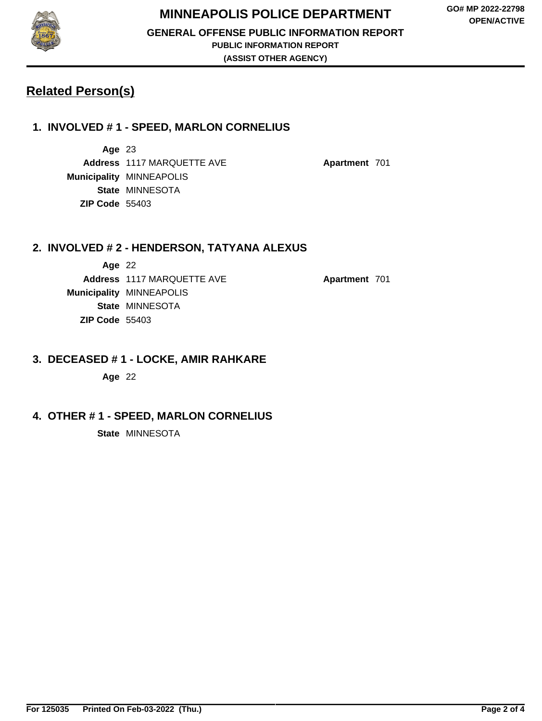

## **MINNEAPOLIS POLICE DEPARTMENT**

**GENERAL OFFENSE PUBLIC INFORMATION REPORT**

**PUBLIC INFORMATION REPORT**

**(ASSIST OTHER AGENCY)**

# **Related Person(s)**

## **1. INVOLVED # 1 - SPEED, MARLON CORNELIUS**

**Age** 23 **Address** 1117 MARQUETTE AVE **Apartment** 701 **Municipality** MINNEAPOLIS **State** MINNESOTA **ZIP Code** 55403

#### **2. INVOLVED # 2 - HENDERSON, TATYANA ALEXUS**

**Age** 22 **Address** 1117 MARQUETTE AVE **Apartment** 701 **Municipality** MINNEAPOLIS **State** MINNESOTA **ZIP Code** 55403

#### **3. DECEASED # 1 - LOCKE, AMIR RAHKARE**

**Age** 22

### **4. OTHER # 1 - SPEED, MARLON CORNELIUS**

**State** MINNESOTA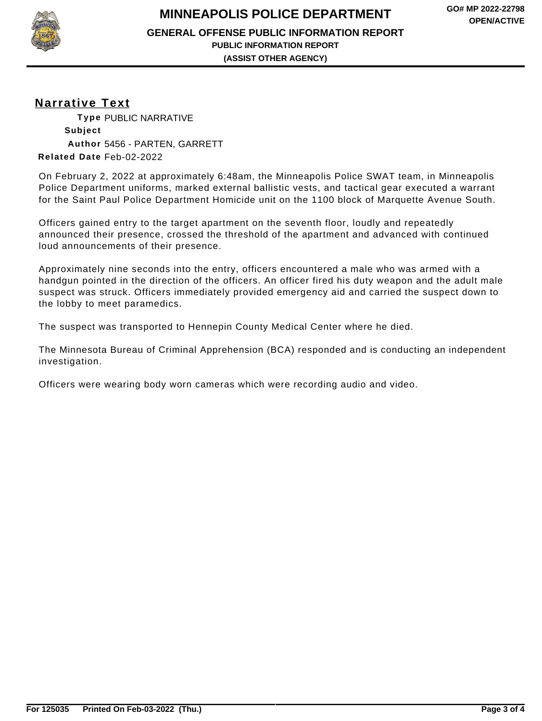**GENERAL OFFENSE PUBLIC INFORMATION REPORT**

**PUBLIC INFORMATION REPORT (ASSIST OTHER AGENCY)**

**Narrative Text**

**Type** PUBLIC NARRATIVE **Subject Author** 5456 - PARTEN, GARRETT **Related Date** Feb-02-2022

On February 2, 2022 at approximately 6:48am, the Minneapolis Police SWAT team, in Minneapolis Police Department uniforms, marked external ballistic vests, and tactical gear executed a warrant for the Saint Paul Police Department Homicide unit on the 1100 block of Marquette Avenue South.

Officers gained entry to the target apartment on the seventh floor, loudly and repeatedly announced their presence, crossed the threshold of the apartment and advanced with continued loud announcements of their presence.

Approximately nine seconds into the entry, officers encountered a male who was armed with a handgun pointed in the direction of the officers. An officer fired his duty weapon and the adult male suspect was struck. Officers immediately provided emergency aid and carried the suspect down to the lobby to meet paramedics.

The suspect was transported to Hennepin County Medical Center where he died.

The Minnesota Bureau of Criminal Apprehension (BCA) responded and is conducting an independent investigation.

Officers were wearing body worn cameras which were recording audio and video.